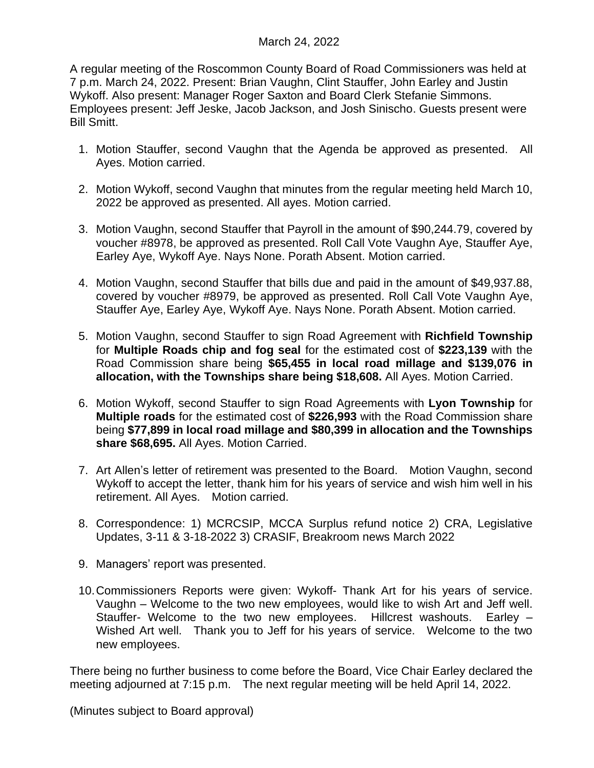A regular meeting of the Roscommon County Board of Road Commissioners was held at 7 p.m. March 24, 2022. Present: Brian Vaughn, Clint Stauffer, John Earley and Justin Wykoff. Also present: Manager Roger Saxton and Board Clerk Stefanie Simmons. Employees present: Jeff Jeske, Jacob Jackson, and Josh Sinischo. Guests present were Bill Smitt.

- 1. Motion Stauffer, second Vaughn that the Agenda be approved as presented. All Ayes. Motion carried.
- 2. Motion Wykoff, second Vaughn that minutes from the regular meeting held March 10, 2022 be approved as presented. All ayes. Motion carried.
- 3. Motion Vaughn, second Stauffer that Payroll in the amount of \$90,244.79, covered by voucher #8978, be approved as presented. Roll Call Vote Vaughn Aye, Stauffer Aye, Earley Aye, Wykoff Aye. Nays None. Porath Absent. Motion carried.
- 4. Motion Vaughn, second Stauffer that bills due and paid in the amount of \$49,937.88, covered by voucher #8979, be approved as presented. Roll Call Vote Vaughn Aye, Stauffer Aye, Earley Aye, Wykoff Aye. Nays None. Porath Absent. Motion carried.
- 5. Motion Vaughn, second Stauffer to sign Road Agreement with **Richfield Township** for **Multiple Roads chip and fog seal** for the estimated cost of **\$223,139** with the Road Commission share being **\$65,455 in local road millage and \$139,076 in allocation, with the Townships share being \$18,608.** All Ayes. Motion Carried.
- 6. Motion Wykoff, second Stauffer to sign Road Agreements with **Lyon Township** for **Multiple roads** for the estimated cost of **\$226,993** with the Road Commission share being **\$77,899 in local road millage and \$80,399 in allocation and the Townships share \$68,695.** All Ayes. Motion Carried.
- 7. Art Allen's letter of retirement was presented to the Board. Motion Vaughn, second Wykoff to accept the letter, thank him for his years of service and wish him well in his retirement. All Ayes. Motion carried.
- 8. Correspondence: 1) MCRCSIP, MCCA Surplus refund notice 2) CRA, Legislative Updates, 3-11 & 3-18-2022 3) CRASIF, Breakroom news March 2022
- 9. Managers' report was presented.
- 10.Commissioners Reports were given: Wykoff- Thank Art for his years of service. Vaughn – Welcome to the two new employees, would like to wish Art and Jeff well. Stauffer- Welcome to the two new employees. Hillcrest washouts. Earley – Wished Art well. Thank you to Jeff for his years of service. Welcome to the two new employees.

There being no further business to come before the Board, Vice Chair Earley declared the meeting adjourned at 7:15 p.m. The next regular meeting will be held April 14, 2022.

(Minutes subject to Board approval)